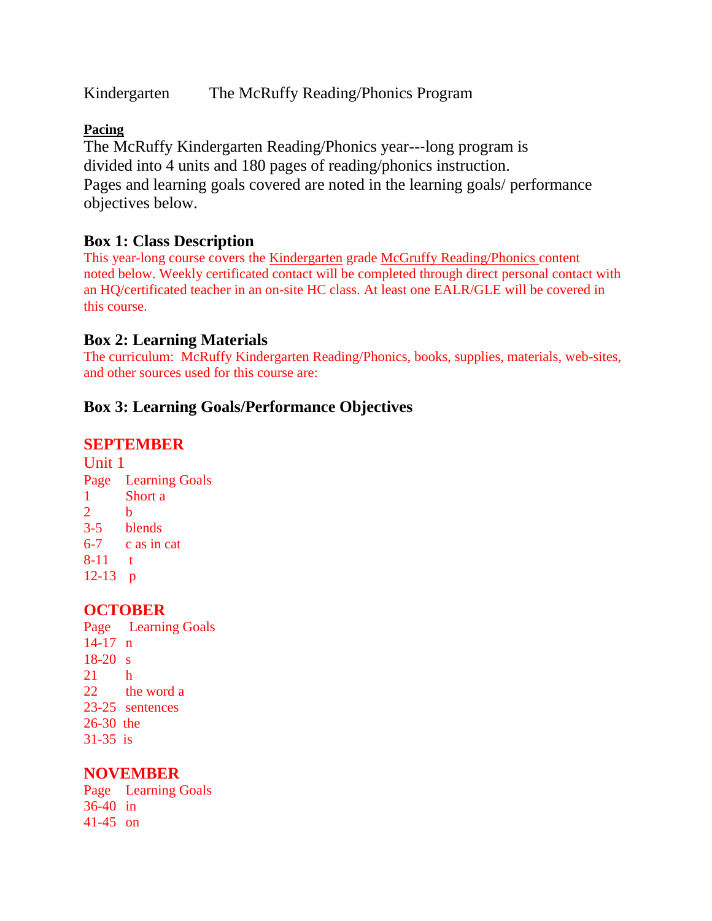Kindergarten The McRuffy Reading/Phonics Program

### **Pacing**

The McRuffy Kindergarten Reading/Phonics year--‐long program is divided into 4 units and 180 pages of reading/phonics instruction. Pages and learning goals covered are noted in the learning goals/ performance objectives below.

# **Box 1: Class Description**

This year-long course covers the Kindergarten grade McGruffy Reading/Phonics content noted below. Weekly certificated contact will be completed through direct personal contact with an HQ/certificated teacher in an on-site HC class. At least one EALR/GLE will be covered in this course.

## **Box 2: Learning Materials**

The curriculum: McRuffy Kindergarten Reading/Phonics, books, supplies, materials, web-sites, and other sources used for this course are:

# **Box 3: Learning Goals/Performance Objectives**

## **SEPTEMBER**

Unit 1 Page Learning Goals 1 Short a 2 b 3-5 blends 6-7 c as in cat 8-11 t 12-13 p

## **OCTOBER**

Page Learning Goals 14-17 n 18-20 s 21 h 22 the word a 23-25 sentences 26-30 the 31-35 is

## **NOVEMBER**

Page Learning Goals 36-40 in 41-45 on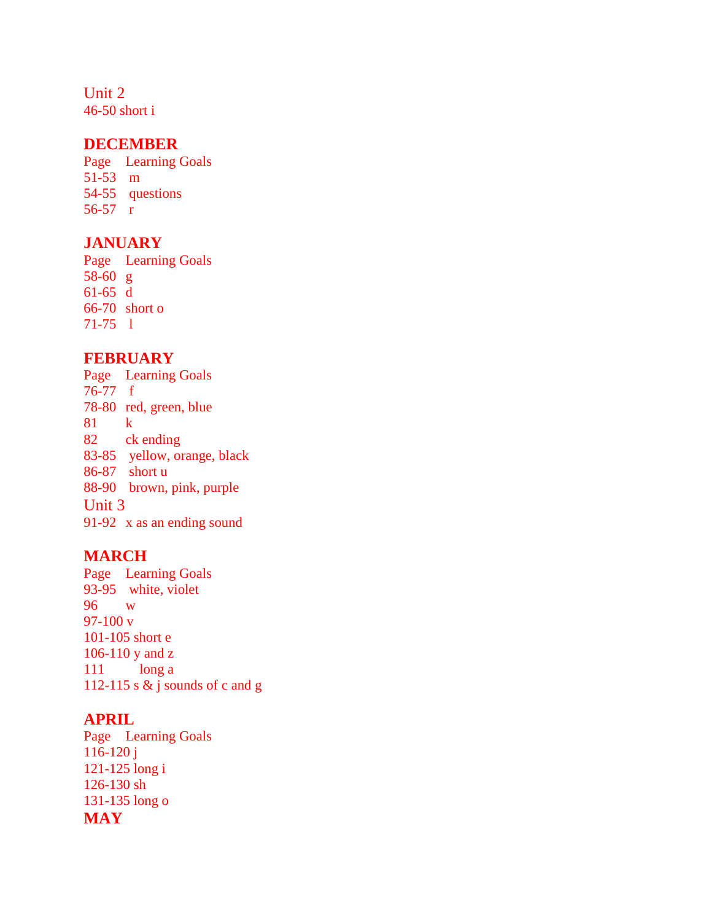Unit 2 46-50 short i

#### **DECEMBER**

Page Learning Goals 51-53 m 54-55 questions 56-57 r

### **JANUARY**

Page Learning Goals 58-60 g 61-65 d 66-70 short o 71-75 l

### **FEBRUARY**

Page Learning Goals 76-77 f 78-80 red, green, blue 81 k 82 ck ending 83-85 yellow, orange, black 86-87 short u 88-90 brown, pink, purple Unit 3 91-92 x as an ending sound

### **MARCH**

Page Learning Goals 93-95 white, violet 96 w 97-100 v 101-105 short e 106-110 y and z 111 long a 112-115 s  $\&$  j sounds of c and g

### **APRIL**

Page Learning Goals 116-120 j 121-125 long i 126-130 sh 131-135 long o **MAY**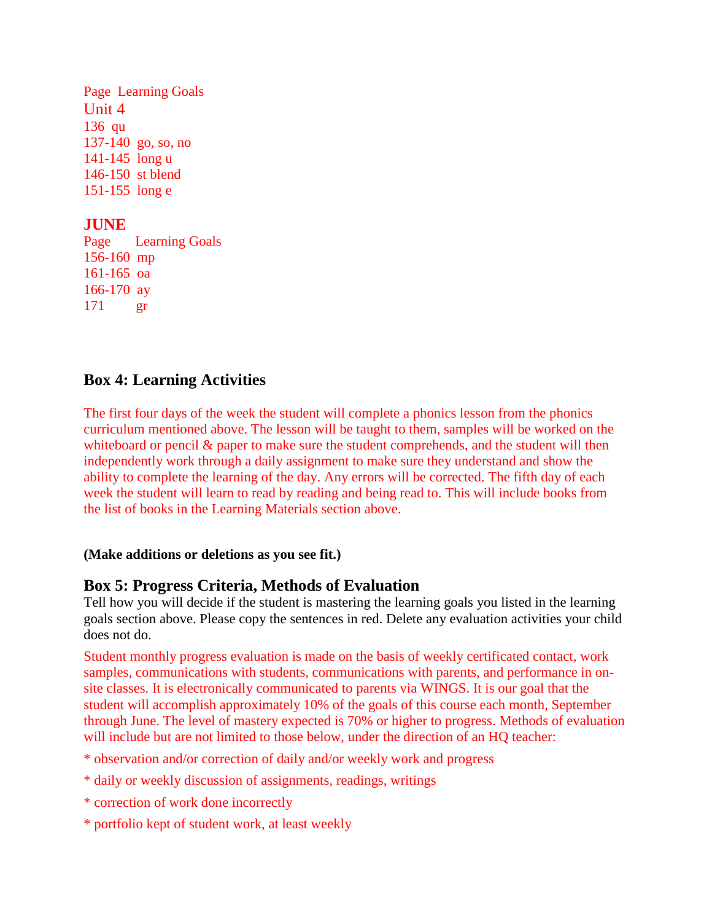Page Learning Goals Unit 4 136 qu 137-140 go, so, no 141-145 long u 146-150 st blend 151-155 long e

## **JUNE**

Page Learning Goals 156-160 mp 161-165 oa 166-170 ay 171 gr

### **Box 4: Learning Activities**

The first four days of the week the student will complete a phonics lesson from the phonics curriculum mentioned above. The lesson will be taught to them, samples will be worked on the whiteboard or pencil  $\&$  paper to make sure the student comprehends, and the student will then independently work through a daily assignment to make sure they understand and show the ability to complete the learning of the day. Any errors will be corrected. The fifth day of each week the student will learn to read by reading and being read to. This will include books from the list of books in the Learning Materials section above.

### **(Make additions or deletions as you see fit.)**

### **Box 5: Progress Criteria, Methods of Evaluation**

Tell how you will decide if the student is mastering the learning goals you listed in the learning goals section above. Please copy the sentences in red. Delete any evaluation activities your child does not do.

Student monthly progress evaluation is made on the basis of weekly certificated contact, work samples, communications with students, communications with parents, and performance in onsite classes. It is electronically communicated to parents via WINGS. It is our goal that the student will accomplish approximately 10% of the goals of this course each month, September through June. The level of mastery expected is 70% or higher to progress. Methods of evaluation will include but are not limited to those below, under the direction of an HQ teacher:

- \* observation and/or correction of daily and/or weekly work and progress
- \* daily or weekly discussion of assignments, readings, writings
- \* correction of work done incorrectly
- \* portfolio kept of student work, at least weekly